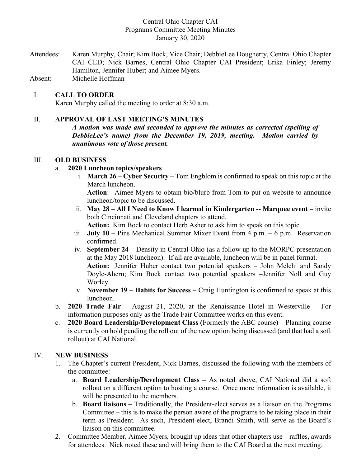# Central Ohio Chapter CAI Programs Committee Meeting Minutes January 30, 2020

Attendees: Karen Murphy, Chair; Kim Bock, Vice Chair; DebbieLee Dougherty, Central Ohio Chapter CAI CED; Nick Barnes, Central Ohio Chapter CAI President; Erika Finley; Jeremy Hamilton, Jennifer Huber; and Aimee Myers.

Absent: Michelle Hoffman

# I. **CALL TO ORDER**

Karen Murphy called the meeting to order at 8:30 a.m.

#### II. **APPROVAL OF LAST MEETING'S MINUTES**

*A motion was made and seconded to approve the minutes as corrected (spelling of DebbieLee's name) from the December 19, 2019, meeting. Motion carried by unanimous vote of those present.*

#### III. **OLD BUSINESS**

#### a. **2020 Luncheon topics/speakers**

i. **March 26 – Cyber Security** – Tom Engblom is confirmed to speak on this topic at the March luncheon.

**Action**: Aimee Myers to obtain bio/blurb from Tom to put on website to announce luncheon/topic to be discussed.

- ii. **May 28 – All I Need to Know I learned in Kindergarten -- Marquee event –** invite both Cincinnati and Cleveland chapters to attend. **Action:** Kim Bock to contact Herb Asher to ask him to speak on this topic.
- iii. **July 10 –** Pins Mechanical Summer Mixer Event from 4 p.m. 6 p.m. Reservation confirmed.
- iv. **September 24 –** Density in Central Ohio (as a follow up to the MORPC presentation at the May 2018 luncheon). If all are available, luncheon will be in panel format. **Action:** Jennifer Huber contact two potential speakers – John Melchi and Sandy Doyle-Ahern; Kim Bock contact two potential speakers –Jennifer Noll and Guy Worley.
- v. **November 19 – Habits for Success –** Craig Huntington is confirmed to speak at this luncheon.
- b. **2020 Trade Fair –** August 21, 2020, at the Renaissance Hotel in Westerville For information purposes only as the Trade Fair Committee works on this event.
- c. **2020 Board Leadership/Development Class (**Formerly the ABC course**)** Planning course is currently on hold pending the roll out of the new option being discussed (and that had a soft rollout) at CAI National.

#### IV. **NEW BUSINESS**

- 1. The Chapter's current President, Nick Barnes, discussed the following with the members of the committee:
	- a. **Board Leadership/Development Class –** As noted above, CAI National did a soft rollout on a different option to hosting a course. Once more information is available, it will be presented to the members.
	- b. **Board liaisons –** Traditionally, the President-elect serves as a liaison on the Programs Committee – this is to make the person aware of the programs to be taking place in their term as President. As such, President-elect, Brandi Smith, will serve as the Board's liaison on this committee.
- 2. Committee Member, Aimee Myers, brought up ideas that other chapters use raffles, awards for attendees. Nick noted these and will bring them to the CAI Board at the next meeting.